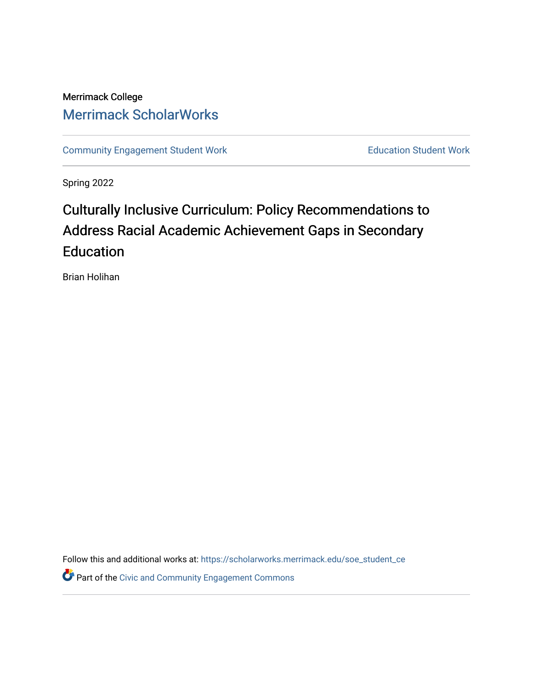## Merrimack College [Merrimack ScholarWorks](https://scholarworks.merrimack.edu/)

[Community Engagement Student Work](https://scholarworks.merrimack.edu/soe_student_ce) **Education Student Work** Education Student Work

Spring 2022

# Culturally Inclusive Curriculum: Policy Recommendations to Address Racial Academic Achievement Gaps in Secondary Education

Brian Holihan

Follow this and additional works at: [https://scholarworks.merrimack.edu/soe\\_student\\_ce](https://scholarworks.merrimack.edu/soe_student_ce?utm_source=scholarworks.merrimack.edu%2Fsoe_student_ce%2F86&utm_medium=PDF&utm_campaign=PDFCoverPages) 

Part of the [Civic and Community Engagement Commons](http://network.bepress.com/hgg/discipline/1028?utm_source=scholarworks.merrimack.edu%2Fsoe_student_ce%2F86&utm_medium=PDF&utm_campaign=PDFCoverPages)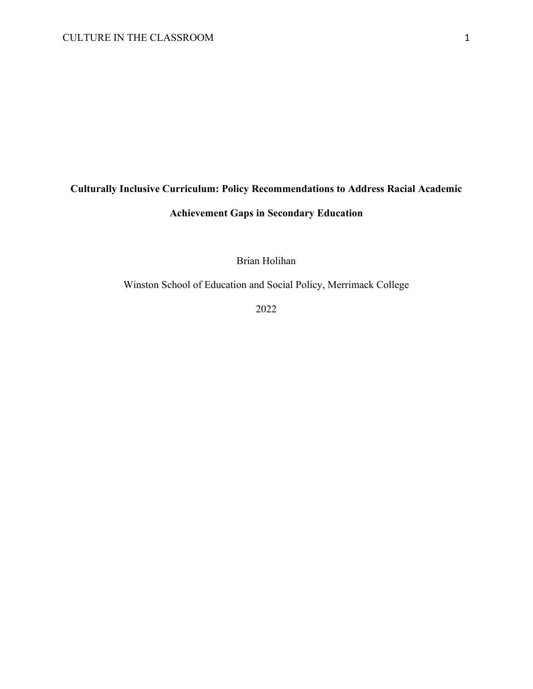## **Culturally Inclusive Curriculum: Policy Recommendations to Address Racial Academic Achievement Gaps in Secondary Education**

Brian Holihan

Winston School of Education and Social Policy, Merrimack College

2022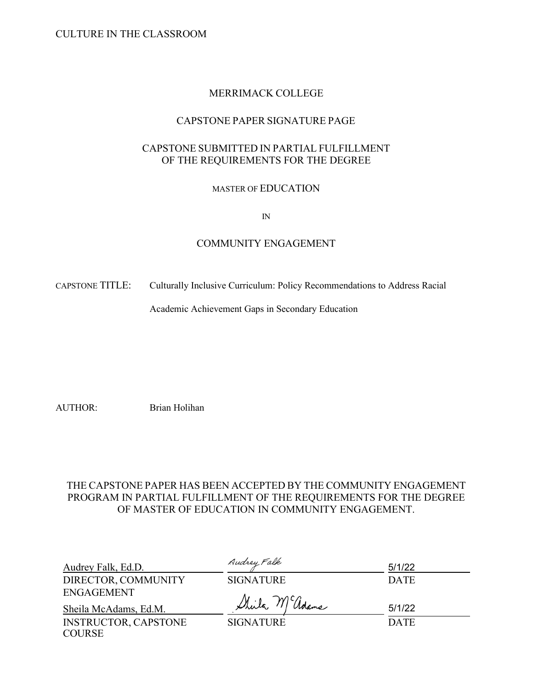CULTURE IN THE CLASSROOM

## MERRIMACK COLLEGE

## CAPSTONE PAPER SIGNATURE PAGE

## CAPSTONE SUBMITTED IN PARTIAL FULFILLMENT OF THE REQUIREMENTS FOR THE DEGREE

## MASTER OF EDUCATION

IN

### COMMUNITY ENGAGEMENT

CAPSTONE TITLE: Culturally Inclusive Curriculum: Policy Recommendations to Address Racial

Academic Achievement Gaps in Secondary Education

AUTHOR: Brian Holihan

## THE CAPSTONE PAPER HAS BEEN ACCEPTED BY THE COMMUNITY ENGAGEMENT PROGRAM IN PARTIAL FULFILLMENT OF THE REQUIREMENTS FOR THE DEGREE OF MASTER OF EDUCATION IN COMMUNITY ENGAGEMENT.

| Audrey Falk, Ed.D.          | Audrey Falk      | 5/1/22      |
|-----------------------------|------------------|-------------|
| DIRECTOR, COMMUNITY         | <b>SIGNATURE</b> | <b>DATE</b> |
| ENGAGEMENT                  |                  |             |
| Sheila McAdams, Ed.M.       | Shirla M adams   | 5/1/22      |
| <b>INSTRUCTOR, CAPSTONE</b> | <b>SIGNATURE</b> | <b>DATE</b> |
| <b>COURSE</b>               |                  |             |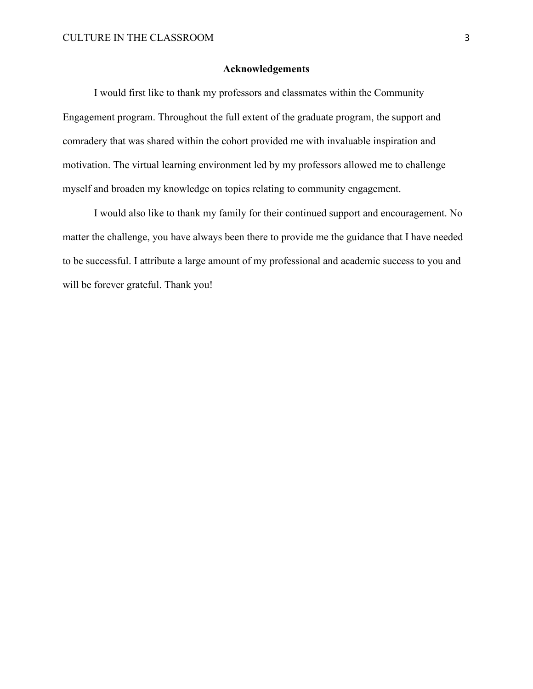#### **Acknowledgements**

I would first like to thank my professors and classmates within the Community Engagement program. Throughout the full extent of the graduate program, the support and comradery that was shared within the cohort provided me with invaluable inspiration and motivation. The virtual learning environment led by my professors allowed me to challenge myself and broaden my knowledge on topics relating to community engagement.

I would also like to thank my family for their continued support and encouragement. No matter the challenge, you have always been there to provide me the guidance that I have needed to be successful. I attribute a large amount of my professional and academic success to you and will be forever grateful. Thank you!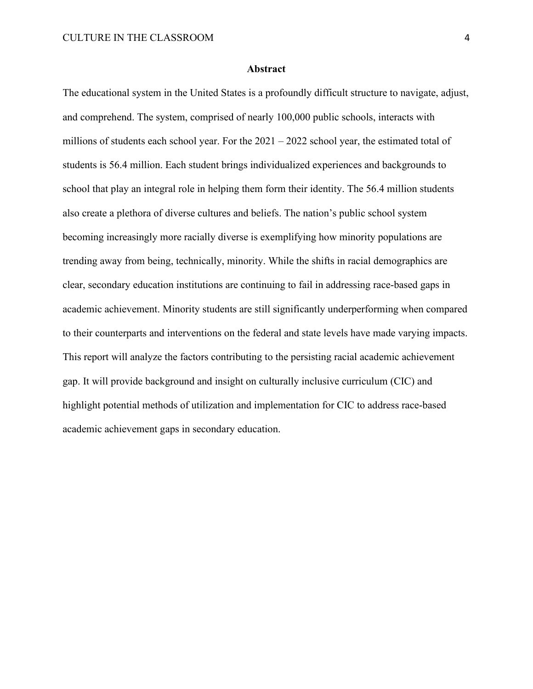#### **Abstract**

The educational system in the United States is a profoundly difficult structure to navigate, adjust, and comprehend. The system, comprised of nearly 100,000 public schools, interacts with millions of students each school year. For the 2021 – 2022 school year, the estimated total of students is 56.4 million. Each student brings individualized experiences and backgrounds to school that play an integral role in helping them form their identity. The 56.4 million students also create a plethora of diverse cultures and beliefs. The nation's public school system becoming increasingly more racially diverse is exemplifying how minority populations are trending away from being, technically, minority. While the shifts in racial demographics are clear, secondary education institutions are continuing to fail in addressing race-based gaps in academic achievement. Minority students are still significantly underperforming when compared to their counterparts and interventions on the federal and state levels have made varying impacts. This report will analyze the factors contributing to the persisting racial academic achievement gap. It will provide background and insight on culturally inclusive curriculum (CIC) and highlight potential methods of utilization and implementation for CIC to address race-based academic achievement gaps in secondary education.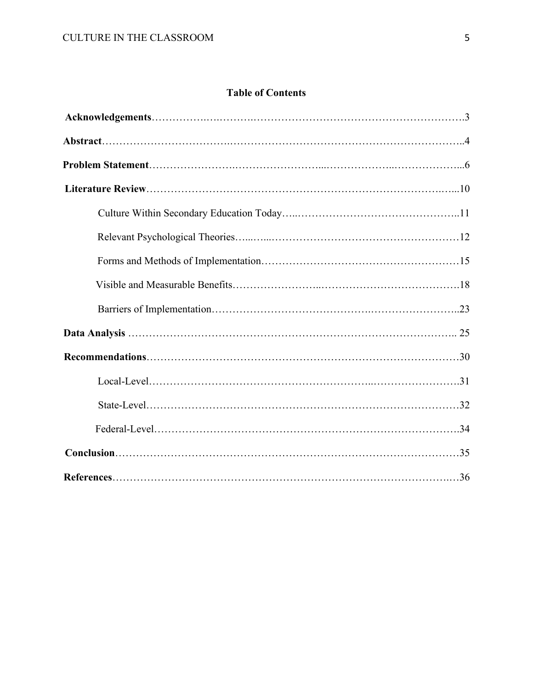## **Table of Contents**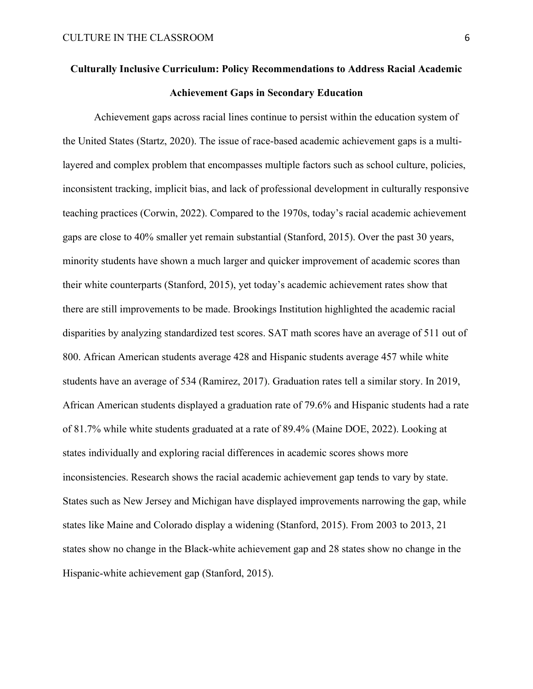## **Culturally Inclusive Curriculum: Policy Recommendations to Address Racial Academic Achievement Gaps in Secondary Education**

Achievement gaps across racial lines continue to persist within the education system of the United States (Startz, 2020). The issue of race-based academic achievement gaps is a multilayered and complex problem that encompasses multiple factors such as school culture, policies, inconsistent tracking, implicit bias, and lack of professional development in culturally responsive teaching practices (Corwin, 2022). Compared to the 1970s, today's racial academic achievement gaps are close to 40% smaller yet remain substantial (Stanford, 2015). Over the past 30 years, minority students have shown a much larger and quicker improvement of academic scores than their white counterparts (Stanford, 2015), yet today's academic achievement rates show that there are still improvements to be made. Brookings Institution highlighted the academic racial disparities by analyzing standardized test scores. SAT math scores have an average of 511 out of 800. African American students average 428 and Hispanic students average 457 while white students have an average of 534 (Ramirez, 2017). Graduation rates tell a similar story. In 2019, African American students displayed a graduation rate of 79.6% and Hispanic students had a rate of 81.7% while white students graduated at a rate of 89.4% (Maine DOE, 2022). Looking at states individually and exploring racial differences in academic scores shows more inconsistencies. Research shows the racial academic achievement gap tends to vary by state. States such as New Jersey and Michigan have displayed improvements narrowing the gap, while states like Maine and Colorado display a widening (Stanford, 2015). From 2003 to 2013, 21 states show no change in the Black-white achievement gap and 28 states show no change in the Hispanic-white achievement gap (Stanford, 2015).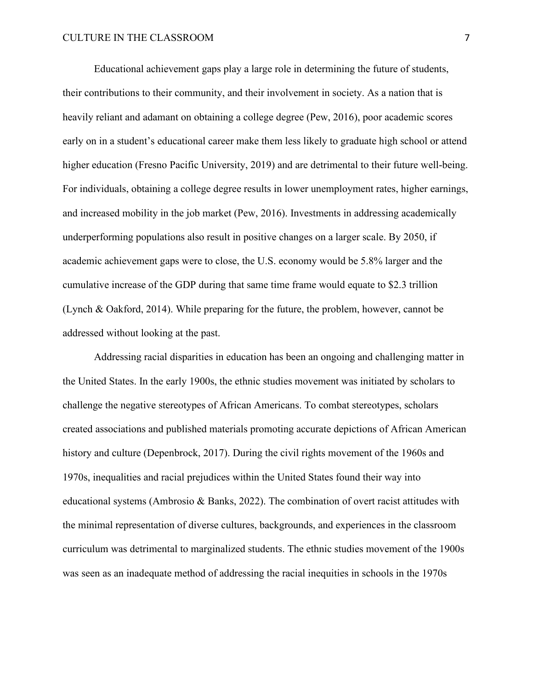Educational achievement gaps play a large role in determining the future of students, their contributions to their community, and their involvement in society. As a nation that is heavily reliant and adamant on obtaining a college degree (Pew, 2016), poor academic scores early on in a student's educational career make them less likely to graduate high school or attend higher education (Fresno Pacific University, 2019) and are detrimental to their future well-being. For individuals, obtaining a college degree results in lower unemployment rates, higher earnings, and increased mobility in the job market (Pew, 2016). Investments in addressing academically underperforming populations also result in positive changes on a larger scale. By 2050, if academic achievement gaps were to close, the U.S. economy would be 5.8% larger and the cumulative increase of the GDP during that same time frame would equate to \$2.3 trillion (Lynch & Oakford, 2014). While preparing for the future, the problem, however, cannot be addressed without looking at the past.

Addressing racial disparities in education has been an ongoing and challenging matter in the United States. In the early 1900s, the ethnic studies movement was initiated by scholars to challenge the negative stereotypes of African Americans. To combat stereotypes, scholars created associations and published materials promoting accurate depictions of African American history and culture (Depenbrock, 2017). During the civil rights movement of the 1960s and 1970s, inequalities and racial prejudices within the United States found their way into educational systems (Ambrosio & Banks, 2022). The combination of overt racist attitudes with the minimal representation of diverse cultures, backgrounds, and experiences in the classroom curriculum was detrimental to marginalized students. The ethnic studies movement of the 1900s was seen as an inadequate method of addressing the racial inequities in schools in the 1970s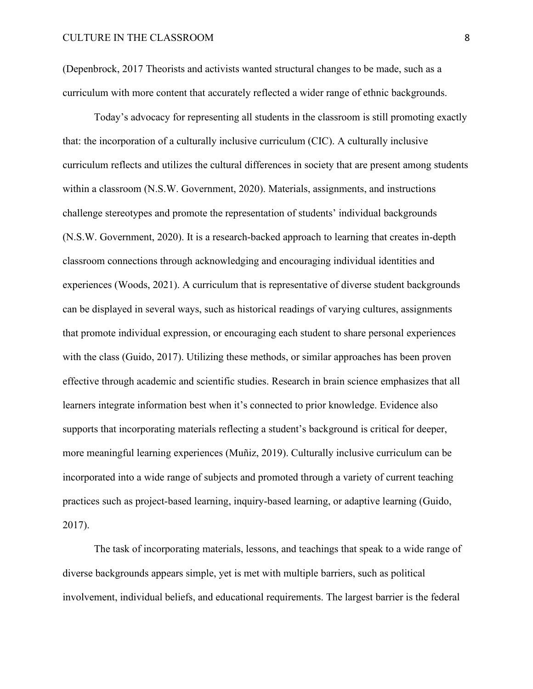(Depenbrock, 2017 Theorists and activists wanted structural changes to be made, such as a curriculum with more content that accurately reflected a wider range of ethnic backgrounds.

Today's advocacy for representing all students in the classroom is still promoting exactly that: the incorporation of a culturally inclusive curriculum (CIC). A culturally inclusive curriculum reflects and utilizes the cultural differences in society that are present among students within a classroom (N.S.W. Government, 2020). Materials, assignments, and instructions challenge stereotypes and promote the representation of students' individual backgrounds (N.S.W. Government, 2020). It is a research-backed approach to learning that creates in-depth classroom connections through acknowledging and encouraging individual identities and experiences (Woods, 2021). A curriculum that is representative of diverse student backgrounds can be displayed in several ways, such as historical readings of varying cultures, assignments that promote individual expression, or encouraging each student to share personal experiences with the class (Guido, 2017). Utilizing these methods, or similar approaches has been proven effective through academic and scientific studies. Research in brain science emphasizes that all learners integrate information best when it's connected to prior knowledge. Evidence also supports that incorporating materials reflecting a student's background is critical for deeper, more meaningful learning experiences (Muñiz, 2019). Culturally inclusive curriculum can be incorporated into a wide range of subjects and promoted through a variety of current teaching practices such as project-based learning, inquiry-based learning, or adaptive learning (Guido, 2017).

The task of incorporating materials, lessons, and teachings that speak to a wide range of diverse backgrounds appears simple, yet is met with multiple barriers, such as political involvement, individual beliefs, and educational requirements. The largest barrier is the federal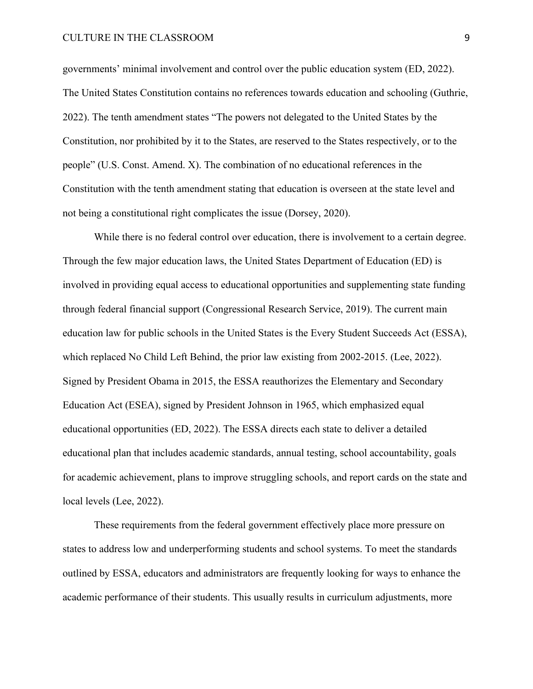#### CULTURE IN THE CLASSROOM 9

governments' minimal involvement and control over the public education system (ED, 2022). The United States Constitution contains no references towards education and schooling (Guthrie, 2022). The tenth amendment states "The powers not delegated to the United States by the Constitution, nor prohibited by it to the States, are reserved to the States respectively, or to the people" (U.S. Const. Amend. X). The combination of no educational references in the Constitution with the tenth amendment stating that education is overseen at the state level and not being a constitutional right complicates the issue (Dorsey, 2020).

While there is no federal control over education, there is involvement to a certain degree. Through the few major education laws, the United States Department of Education (ED) is involved in providing equal access to educational opportunities and supplementing state funding through federal financial support (Congressional Research Service, 2019). The current main education law for public schools in the United States is the Every Student Succeeds Act (ESSA), which replaced No Child Left Behind, the prior law existing from 2002-2015. (Lee, 2022). Signed by President Obama in 2015, the ESSA reauthorizes the Elementary and Secondary Education Act (ESEA), signed by President Johnson in 1965, which emphasized equal educational opportunities (ED, 2022). The ESSA directs each state to deliver a detailed educational plan that includes academic standards, annual testing, school accountability, goals for academic achievement, plans to improve struggling schools, and report cards on the state and local levels (Lee, 2022).

These requirements from the federal government effectively place more pressure on states to address low and underperforming students and school systems. To meet the standards outlined by ESSA, educators and administrators are frequently looking for ways to enhance the academic performance of their students. This usually results in curriculum adjustments, more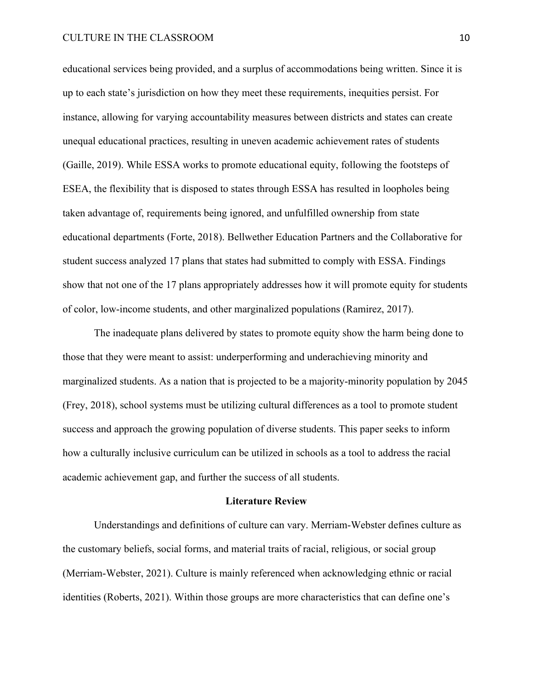#### CULTURE IN THE CLASSROOM 10

educational services being provided, and a surplus of accommodations being written. Since it is up to each state's jurisdiction on how they meet these requirements, inequities persist. For instance, allowing for varying accountability measures between districts and states can create unequal educational practices, resulting in uneven academic achievement rates of students (Gaille, 2019). While ESSA works to promote educational equity, following the footsteps of ESEA, the flexibility that is disposed to states through ESSA has resulted in loopholes being taken advantage of, requirements being ignored, and unfulfilled ownership from state educational departments (Forte, 2018). Bellwether Education Partners and the Collaborative for student success analyzed 17 plans that states had submitted to comply with ESSA. Findings show that not one of the 17 plans appropriately addresses how it will promote equity for students of color, low-income students, and other marginalized populations (Ramirez, 2017).

The inadequate plans delivered by states to promote equity show the harm being done to those that they were meant to assist: underperforming and underachieving minority and marginalized students. As a nation that is projected to be a majority-minority population by 2045 (Frey, 2018), school systems must be utilizing cultural differences as a tool to promote student success and approach the growing population of diverse students. This paper seeks to inform how a culturally inclusive curriculum can be utilized in schools as a tool to address the racial academic achievement gap, and further the success of all students.

#### **Literature Review**

Understandings and definitions of culture can vary. Merriam-Webster defines culture as the customary beliefs, social forms, and material traits of racial, religious, or social group (Merriam-Webster, 2021). Culture is mainly referenced when acknowledging ethnic or racial identities (Roberts, 2021). Within those groups are more characteristics that can define one's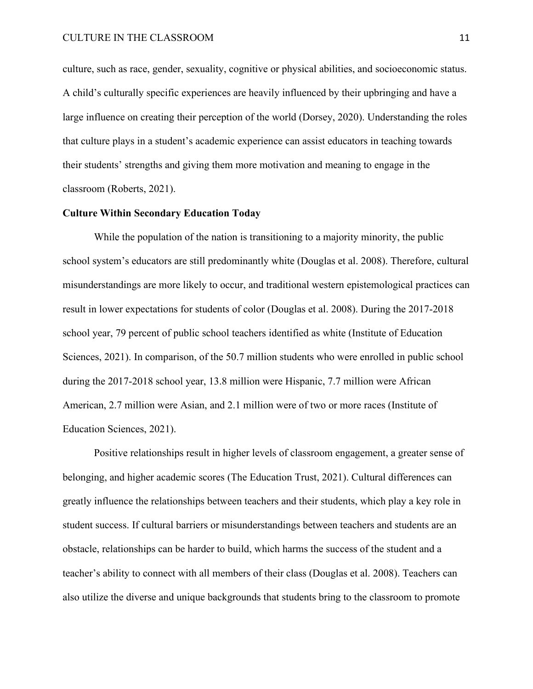culture, such as race, gender, sexuality, cognitive or physical abilities, and socioeconomic status. A child's culturally specific experiences are heavily influenced by their upbringing and have a large influence on creating their perception of the world (Dorsey, 2020). Understanding the roles that culture plays in a student's academic experience can assist educators in teaching towards their students' strengths and giving them more motivation and meaning to engage in the classroom (Roberts, 2021).

### **Culture Within Secondary Education Today**

While the population of the nation is transitioning to a majority minority, the public school system's educators are still predominantly white (Douglas et al. 2008). Therefore, cultural misunderstandings are more likely to occur, and traditional western epistemological practices can result in lower expectations for students of color (Douglas et al. 2008). During the 2017-2018 school year, 79 percent of public school teachers identified as white (Institute of Education Sciences, 2021). In comparison, of the 50.7 million students who were enrolled in public school during the 2017-2018 school year, 13.8 million were Hispanic, 7.7 million were African American, 2.7 million were Asian, and 2.1 million were of two or more races (Institute of Education Sciences, 2021).

Positive relationships result in higher levels of classroom engagement, a greater sense of belonging, and higher academic scores (The Education Trust, 2021). Cultural differences can greatly influence the relationships between teachers and their students, which play a key role in student success. If cultural barriers or misunderstandings between teachers and students are an obstacle, relationships can be harder to build, which harms the success of the student and a teacher's ability to connect with all members of their class (Douglas et al. 2008). Teachers can also utilize the diverse and unique backgrounds that students bring to the classroom to promote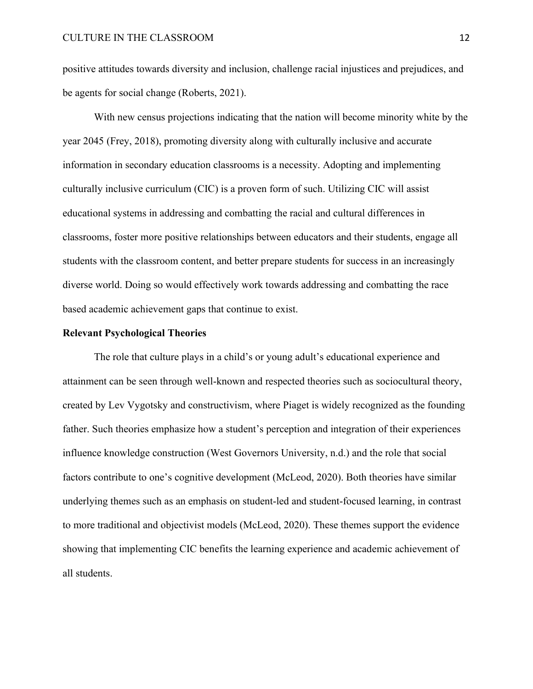positive attitudes towards diversity and inclusion, challenge racial injustices and prejudices, and be agents for social change (Roberts, 2021).

With new census projections indicating that the nation will become minority white by the year 2045 (Frey, 2018), promoting diversity along with culturally inclusive and accurate information in secondary education classrooms is a necessity. Adopting and implementing culturally inclusive curriculum (CIC) is a proven form of such. Utilizing CIC will assist educational systems in addressing and combatting the racial and cultural differences in classrooms, foster more positive relationships between educators and their students, engage all students with the classroom content, and better prepare students for success in an increasingly diverse world. Doing so would effectively work towards addressing and combatting the race based academic achievement gaps that continue to exist.

#### **Relevant Psychological Theories**

The role that culture plays in a child's or young adult's educational experience and attainment can be seen through well-known and respected theories such as sociocultural theory, created by Lev Vygotsky and constructivism, where Piaget is widely recognized as the founding father. Such theories emphasize how a student's perception and integration of their experiences influence knowledge construction (West Governors University, n.d.) and the role that social factors contribute to one's cognitive development (McLeod, 2020). Both theories have similar underlying themes such as an emphasis on student-led and student-focused learning, in contrast to more traditional and objectivist models (McLeod, 2020). These themes support the evidence showing that implementing CIC benefits the learning experience and academic achievement of all students.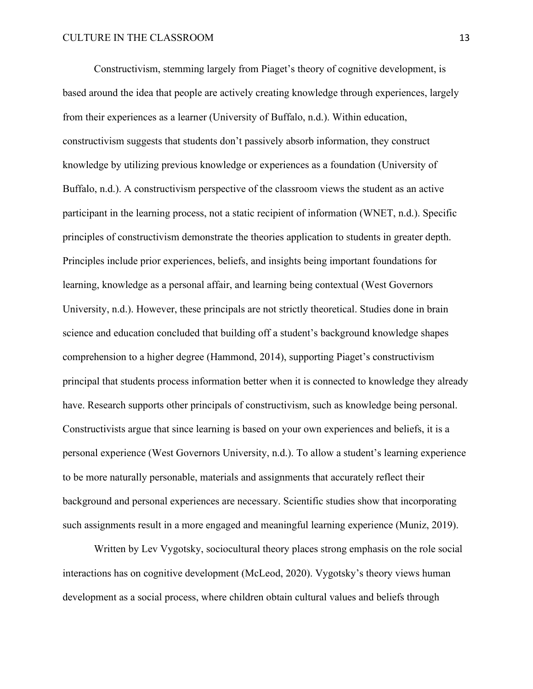Constructivism, stemming largely from Piaget's theory of cognitive development, is based around the idea that people are actively creating knowledge through experiences, largely from their experiences as a learner (University of Buffalo, n.d.). Within education, constructivism suggests that students don't passively absorb information, they construct knowledge by utilizing previous knowledge or experiences as a foundation (University of Buffalo, n.d.). A constructivism perspective of the classroom views the student as an active participant in the learning process, not a static recipient of information (WNET, n.d.). Specific principles of constructivism demonstrate the theories application to students in greater depth. Principles include prior experiences, beliefs, and insights being important foundations for learning, knowledge as a personal affair, and learning being contextual (West Governors University, n.d.). However, these principals are not strictly theoretical. Studies done in brain science and education concluded that building off a student's background knowledge shapes comprehension to a higher degree (Hammond, 2014), supporting Piaget's constructivism principal that students process information better when it is connected to knowledge they already have. Research supports other principals of constructivism, such as knowledge being personal. Constructivists argue that since learning is based on your own experiences and beliefs, it is a personal experience (West Governors University, n.d.). To allow a student's learning experience to be more naturally personable, materials and assignments that accurately reflect their background and personal experiences are necessary. Scientific studies show that incorporating such assignments result in a more engaged and meaningful learning experience (Muniz, 2019).

Written by Lev Vygotsky, sociocultural theory places strong emphasis on the role social interactions has on cognitive development (McLeod, 2020). Vygotsky's theory views human development as a social process, where children obtain cultural values and beliefs through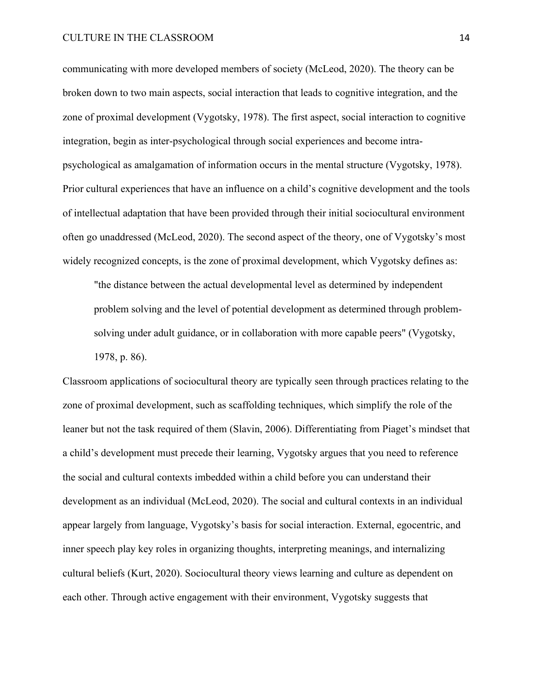communicating with more developed members of society (McLeod, 2020). The theory can be broken down to two main aspects, social interaction that leads to cognitive integration, and the zone of proximal development (Vygotsky, 1978). The first aspect, social interaction to cognitive integration, begin as inter-psychological through social experiences and become intrapsychological as amalgamation of information occurs in the mental structure (Vygotsky, 1978). Prior cultural experiences that have an influence on a child's cognitive development and the tools of intellectual adaptation that have been provided through their initial sociocultural environment often go unaddressed (McLeod, 2020). The second aspect of the theory, one of Vygotsky's most widely recognized concepts, is the zone of proximal development, which Vygotsky defines as:

"the distance between the actual developmental level as determined by independent problem solving and the level of potential development as determined through problemsolving under adult guidance, or in collaboration with more capable peers" (Vygotsky, 1978, p. 86).

Classroom applications of sociocultural theory are typically seen through practices relating to the zone of proximal development, such as scaffolding techniques, which simplify the role of the leaner but not the task required of them (Slavin, 2006). Differentiating from Piaget's mindset that a child's development must precede their learning, Vygotsky argues that you need to reference the social and cultural contexts imbedded within a child before you can understand their development as an individual (McLeod, 2020). The social and cultural contexts in an individual appear largely from language, Vygotsky's basis for social interaction. External, egocentric, and inner speech play key roles in organizing thoughts, interpreting meanings, and internalizing cultural beliefs (Kurt, 2020). Sociocultural theory views learning and culture as dependent on each other. Through active engagement with their environment, Vygotsky suggests that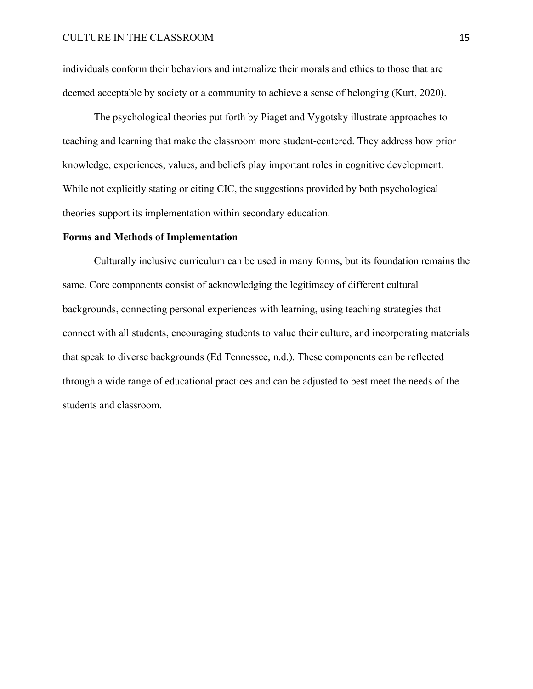individuals conform their behaviors and internalize their morals and ethics to those that are deemed acceptable by society or a community to achieve a sense of belonging (Kurt, 2020).

The psychological theories put forth by Piaget and Vygotsky illustrate approaches to teaching and learning that make the classroom more student-centered. They address how prior knowledge, experiences, values, and beliefs play important roles in cognitive development. While not explicitly stating or citing CIC, the suggestions provided by both psychological theories support its implementation within secondary education.

#### **Forms and Methods of Implementation**

Culturally inclusive curriculum can be used in many forms, but its foundation remains the same. Core components consist of acknowledging the legitimacy of different cultural backgrounds, connecting personal experiences with learning, using teaching strategies that connect with all students, encouraging students to value their culture, and incorporating materials that speak to diverse backgrounds (Ed Tennessee, n.d.). These components can be reflected through a wide range of educational practices and can be adjusted to best meet the needs of the students and classroom.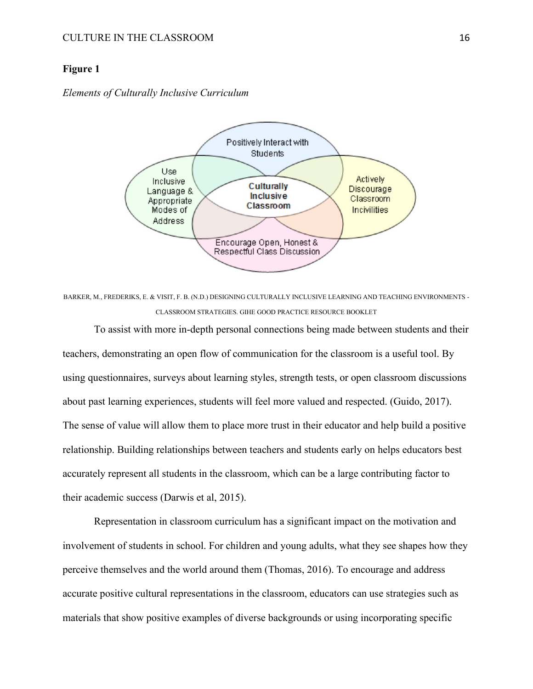#### **Figure 1**

*Elements of Culturally Inclusive Curriculum*



BARKER, M., FREDERIKS, E. & VISIT, F. B. (N.D.) DESIGNING CULTURALLY INCLUSIVE LEARNING AND TEACHING ENVIRONMENTS - CLASSROOM STRATEGIES. GIHE GOOD PRACTICE RESOURCE BOOKLET

To assist with more in-depth personal connections being made between students and their teachers, demonstrating an open flow of communication for the classroom is a useful tool. By using questionnaires, surveys about learning styles, strength tests, or open classroom discussions about past learning experiences, students will feel more valued and respected. (Guido, 2017). The sense of value will allow them to place more trust in their educator and help build a positive relationship. Building relationships between teachers and students early on helps educators best accurately represent all students in the classroom, which can be a large contributing factor to their academic success (Darwis et al, 2015).

Representation in classroom curriculum has a significant impact on the motivation and involvement of students in school. For children and young adults, what they see shapes how they perceive themselves and the world around them (Thomas, 2016). To encourage and address accurate positive cultural representations in the classroom, educators can use strategies such as materials that show positive examples of diverse backgrounds or using incorporating specific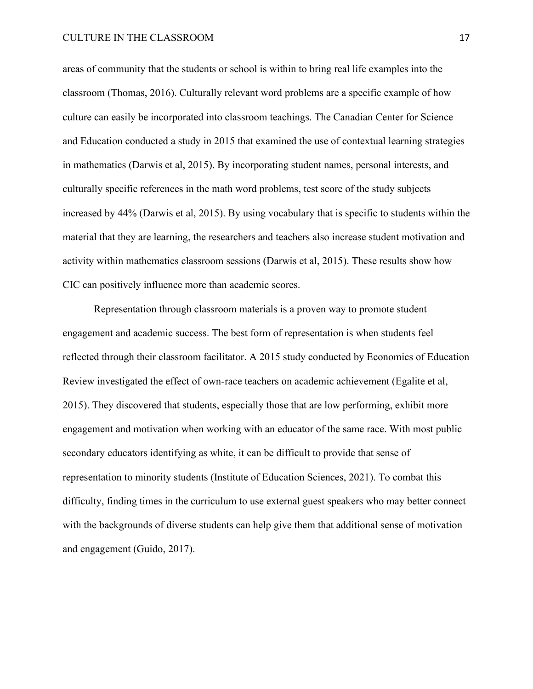areas of community that the students or school is within to bring real life examples into the classroom (Thomas, 2016). Culturally relevant word problems are a specific example of how culture can easily be incorporated into classroom teachings. The Canadian Center for Science and Education conducted a study in 2015 that examined the use of contextual learning strategies in mathematics (Darwis et al, 2015). By incorporating student names, personal interests, and culturally specific references in the math word problems, test score of the study subjects increased by 44% (Darwis et al, 2015). By using vocabulary that is specific to students within the material that they are learning, the researchers and teachers also increase student motivation and activity within mathematics classroom sessions (Darwis et al, 2015). These results show how CIC can positively influence more than academic scores.

Representation through classroom materials is a proven way to promote student engagement and academic success. The best form of representation is when students feel reflected through their classroom facilitator. A 2015 study conducted by Economics of Education Review investigated the effect of own-race teachers on academic achievement (Egalite et al, 2015). They discovered that students, especially those that are low performing, exhibit more engagement and motivation when working with an educator of the same race. With most public secondary educators identifying as white, it can be difficult to provide that sense of representation to minority students (Institute of Education Sciences, 2021). To combat this difficulty, finding times in the curriculum to use external guest speakers who may better connect with the backgrounds of diverse students can help give them that additional sense of motivation and engagement (Guido, 2017).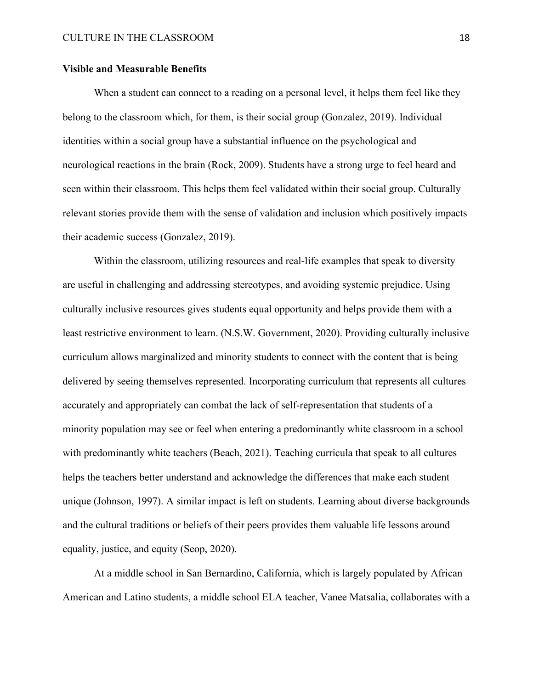#### **Visible and Measurable Benefits**

When a student can connect to a reading on a personal level, it helps them feel like they belong to the classroom which, for them, is their social group (Gonzalez, 2019). Individual identities within a social group have a substantial influence on the psychological and neurological reactions in the brain (Rock, 2009). Students have a strong urge to feel heard and seen within their classroom. This helps them feel validated within their social group. Culturally relevant stories provide them with the sense of validation and inclusion which positively impacts their academic success (Gonzalez, 2019).

Within the classroom, utilizing resources and real-life examples that speak to diversity are useful in challenging and addressing stereotypes, and avoiding systemic prejudice. Using culturally inclusive resources gives students equal opportunity and helps provide them with a least restrictive environment to learn. (N.S.W. Government, 2020). Providing culturally inclusive curriculum allows marginalized and minority students to connect with the content that is being delivered by seeing themselves represented. Incorporating curriculum that represents all cultures accurately and appropriately can combat the lack of self-representation that students of a minority population may see or feel when entering a predominantly white classroom in a school with predominantly white teachers (Beach, 2021). Teaching curricula that speak to all cultures helps the teachers better understand and acknowledge the differences that make each student unique (Johnson, 1997). A similar impact is left on students. Learning about diverse backgrounds and the cultural traditions or beliefs of their peers provides them valuable life lessons around equality, justice, and equity (Seop, 2020).

At a middle school in San Bernardino, California, which is largely populated by African American and Latino students, a middle school ELA teacher, Vanee Matsalia, collaborates with a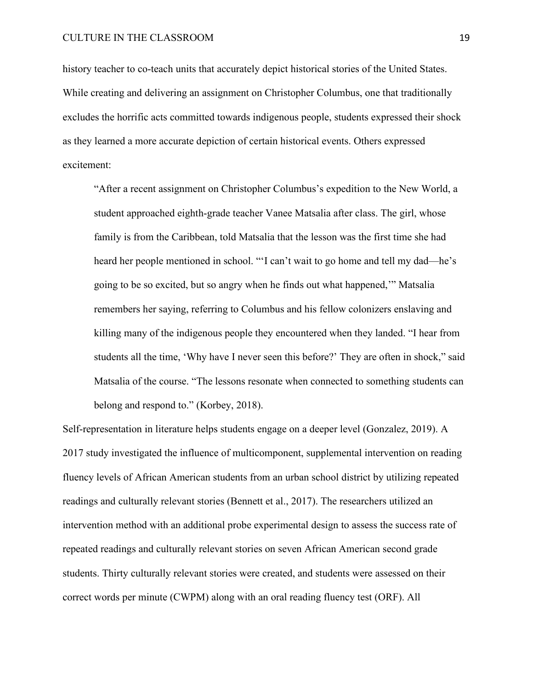history teacher to co-teach units that accurately depict historical stories of the United States. While creating and delivering an assignment on Christopher Columbus, one that traditionally excludes the horrific acts committed towards indigenous people, students expressed their shock as they learned a more accurate depiction of certain historical events. Others expressed excitement:

"After a recent assignment on Christopher Columbus's expedition to the New World, a student approached eighth-grade teacher Vanee Matsalia after class. The girl, whose family is from the Caribbean, told Matsalia that the lesson was the first time she had heard her people mentioned in school. "'I can't wait to go home and tell my dad—he's going to be so excited, but so angry when he finds out what happened,'" Matsalia remembers her saying, referring to Columbus and his fellow colonizers enslaving and killing many of the indigenous people they encountered when they landed. "I hear from students all the time, 'Why have I never seen this before?' They are often in shock," said Matsalia of the course. "The lessons resonate when connected to something students can belong and respond to." (Korbey, 2018).

Self-representation in literature helps students engage on a deeper level (Gonzalez, 2019). A 2017 study investigated the influence of multicomponent, supplemental intervention on reading fluency levels of African American students from an urban school district by utilizing repeated readings and culturally relevant stories (Bennett et al., 2017). The researchers utilized an intervention method with an additional probe experimental design to assess the success rate of repeated readings and culturally relevant stories on seven African American second grade students. Thirty culturally relevant stories were created, and students were assessed on their correct words per minute (CWPM) along with an oral reading fluency test (ORF). All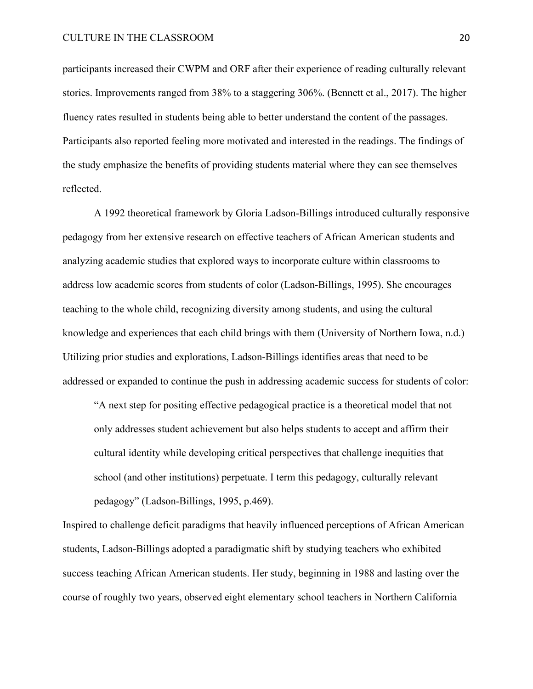#### CULTURE IN THE CLASSROOM 20

participants increased their CWPM and ORF after their experience of reading culturally relevant stories. Improvements ranged from 38% to a staggering 306%. (Bennett et al., 2017). The higher fluency rates resulted in students being able to better understand the content of the passages. Participants also reported feeling more motivated and interested in the readings. The findings of the study emphasize the benefits of providing students material where they can see themselves reflected.

A 1992 theoretical framework by Gloria Ladson-Billings introduced culturally responsive pedagogy from her extensive research on effective teachers of African American students and analyzing academic studies that explored ways to incorporate culture within classrooms to address low academic scores from students of color (Ladson-Billings, 1995). She encourages teaching to the whole child, recognizing diversity among students, and using the cultural knowledge and experiences that each child brings with them (University of Northern Iowa, n.d.) Utilizing prior studies and explorations, Ladson-Billings identifies areas that need to be addressed or expanded to continue the push in addressing academic success for students of color:

"A next step for positing effective pedagogical practice is a theoretical model that not only addresses student achievement but also helps students to accept and affirm their cultural identity while developing critical perspectives that challenge inequities that school (and other institutions) perpetuate. I term this pedagogy, culturally relevant pedagogy" (Ladson-Billings, 1995, p.469).

Inspired to challenge deficit paradigms that heavily influenced perceptions of African American students, Ladson-Billings adopted a paradigmatic shift by studying teachers who exhibited success teaching African American students. Her study, beginning in 1988 and lasting over the course of roughly two years, observed eight elementary school teachers in Northern California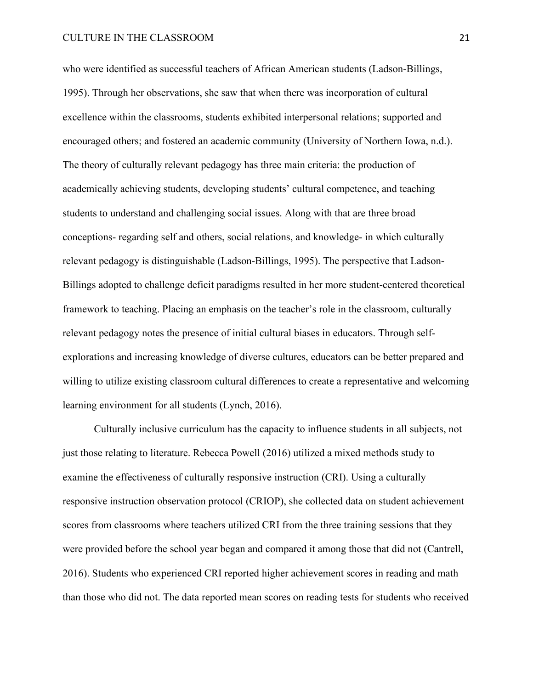who were identified as successful teachers of African American students (Ladson-Billings, 1995). Through her observations, she saw that when there was incorporation of cultural excellence within the classrooms, students exhibited interpersonal relations; supported and encouraged others; and fostered an academic community (University of Northern Iowa, n.d.). The theory of culturally relevant pedagogy has three main criteria: the production of academically achieving students, developing students' cultural competence, and teaching students to understand and challenging social issues. Along with that are three broad conceptions- regarding self and others, social relations, and knowledge- in which culturally relevant pedagogy is distinguishable (Ladson-Billings, 1995). The perspective that Ladson-Billings adopted to challenge deficit paradigms resulted in her more student-centered theoretical framework to teaching. Placing an emphasis on the teacher's role in the classroom, culturally relevant pedagogy notes the presence of initial cultural biases in educators. Through selfexplorations and increasing knowledge of diverse cultures, educators can be better prepared and willing to utilize existing classroom cultural differences to create a representative and welcoming learning environment for all students (Lynch, 2016).

Culturally inclusive curriculum has the capacity to influence students in all subjects, not just those relating to literature. Rebecca Powell (2016) utilized a mixed methods study to examine the effectiveness of culturally responsive instruction (CRI). Using a culturally responsive instruction observation protocol (CRIOP), she collected data on student achievement scores from classrooms where teachers utilized CRI from the three training sessions that they were provided before the school year began and compared it among those that did not (Cantrell, 2016). Students who experienced CRI reported higher achievement scores in reading and math than those who did not. The data reported mean scores on reading tests for students who received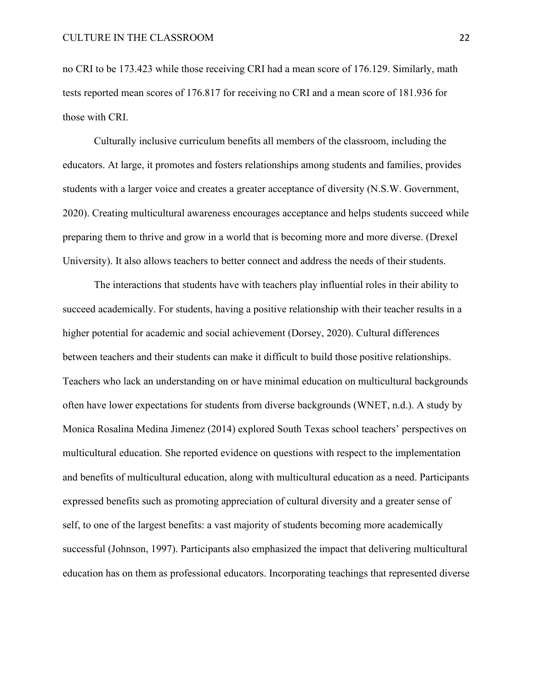no CRI to be 173.423 while those receiving CRI had a mean score of 176.129. Similarly, math tests reported mean scores of 176.817 for receiving no CRI and a mean score of 181.936 for those with CRI.

Culturally inclusive curriculum benefits all members of the classroom, including the educators. At large, it promotes and fosters relationships among students and families, provides students with a larger voice and creates a greater acceptance of diversity (N.S.W. Government, 2020). Creating multicultural awareness encourages acceptance and helps students succeed while preparing them to thrive and grow in a world that is becoming more and more diverse. (Drexel University). It also allows teachers to better connect and address the needs of their students.

The interactions that students have with teachers play influential roles in their ability to succeed academically. For students, having a positive relationship with their teacher results in a higher potential for academic and social achievement (Dorsey, 2020). Cultural differences between teachers and their students can make it difficult to build those positive relationships. Teachers who lack an understanding on or have minimal education on multicultural backgrounds often have lower expectations for students from diverse backgrounds (WNET, n.d.). A study by Monica Rosalina Medina Jimenez (2014) explored South Texas school teachers' perspectives on multicultural education. She reported evidence on questions with respect to the implementation and benefits of multicultural education, along with multicultural education as a need. Participants expressed benefits such as promoting appreciation of cultural diversity and a greater sense of self, to one of the largest benefits: a vast majority of students becoming more academically successful (Johnson, 1997). Participants also emphasized the impact that delivering multicultural education has on them as professional educators. Incorporating teachings that represented diverse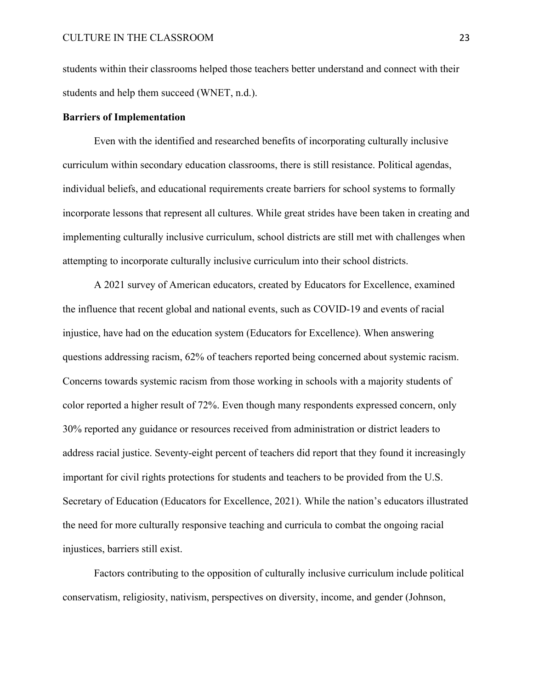students within their classrooms helped those teachers better understand and connect with their students and help them succeed (WNET, n.d.).

#### **Barriers of Implementation**

Even with the identified and researched benefits of incorporating culturally inclusive curriculum within secondary education classrooms, there is still resistance. Political agendas, individual beliefs, and educational requirements create barriers for school systems to formally incorporate lessons that represent all cultures. While great strides have been taken in creating and implementing culturally inclusive curriculum, school districts are still met with challenges when attempting to incorporate culturally inclusive curriculum into their school districts.

A 2021 survey of American educators, created by Educators for Excellence, examined the influence that recent global and national events, such as COVID-19 and events of racial injustice, have had on the education system (Educators for Excellence). When answering questions addressing racism, 62% of teachers reported being concerned about systemic racism. Concerns towards systemic racism from those working in schools with a majority students of color reported a higher result of 72%. Even though many respondents expressed concern, only 30% reported any guidance or resources received from administration or district leaders to address racial justice. Seventy-eight percent of teachers did report that they found it increasingly important for civil rights protections for students and teachers to be provided from the U.S. Secretary of Education (Educators for Excellence, 2021). While the nation's educators illustrated the need for more culturally responsive teaching and curricula to combat the ongoing racial injustices, barriers still exist.

Factors contributing to the opposition of culturally inclusive curriculum include political conservatism, religiosity, nativism, perspectives on diversity, income, and gender (Johnson,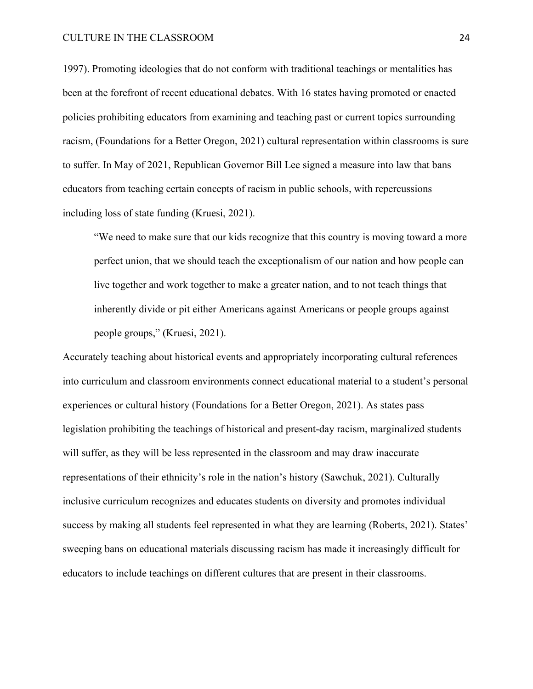1997). Promoting ideologies that do not conform with traditional teachings or mentalities has been at the forefront of recent educational debates. With 16 states having promoted or enacted policies prohibiting educators from examining and teaching past or current topics surrounding racism, (Foundations for a Better Oregon, 2021) cultural representation within classrooms is sure to suffer. In May of 2021, Republican Governor Bill Lee signed a measure into law that bans educators from teaching certain concepts of racism in public schools, with repercussions including loss of state funding (Kruesi, 2021).

"We need to make sure that our kids recognize that this country is moving toward a more perfect union, that we should teach the exceptionalism of our nation and how people can live together and work together to make a greater nation, and to not teach things that inherently divide or pit either Americans against Americans or people groups against people groups," (Kruesi, 2021).

Accurately teaching about historical events and appropriately incorporating cultural references into curriculum and classroom environments connect educational material to a student's personal experiences or cultural history (Foundations for a Better Oregon, 2021). As states pass legislation prohibiting the teachings of historical and present-day racism, marginalized students will suffer, as they will be less represented in the classroom and may draw inaccurate representations of their ethnicity's role in the nation's history (Sawchuk, 2021). Culturally inclusive curriculum recognizes and educates students on diversity and promotes individual success by making all students feel represented in what they are learning (Roberts, 2021). States' sweeping bans on educational materials discussing racism has made it increasingly difficult for educators to include teachings on different cultures that are present in their classrooms.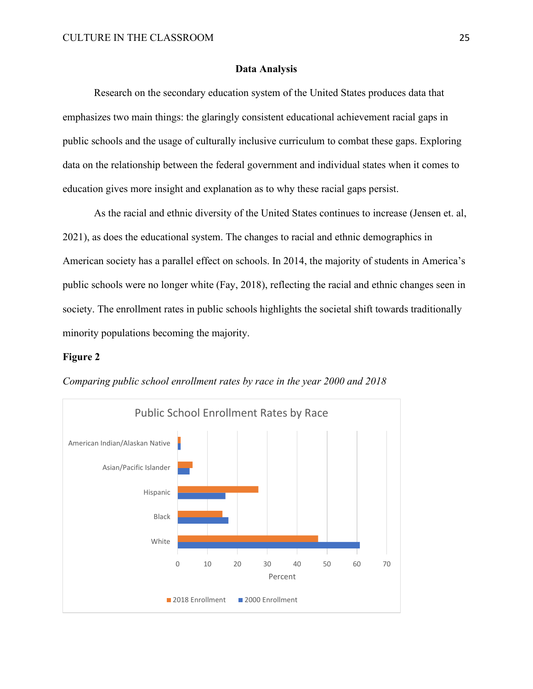#### **Data Analysis**

Research on the secondary education system of the United States produces data that emphasizes two main things: the glaringly consistent educational achievement racial gaps in public schools and the usage of culturally inclusive curriculum to combat these gaps. Exploring data on the relationship between the federal government and individual states when it comes to education gives more insight and explanation as to why these racial gaps persist.

As the racial and ethnic diversity of the United States continues to increase (Jensen et. al, 2021), as does the educational system. The changes to racial and ethnic demographics in American society has a parallel effect on schools. In 2014, the majority of students in America's public schools were no longer white (Fay, 2018), reflecting the racial and ethnic changes seen in society. The enrollment rates in public schools highlights the societal shift towards traditionally minority populations becoming the majority.

#### **Figure 2**



*Comparing public school enrollment rates by race in the year 2000 and 2018*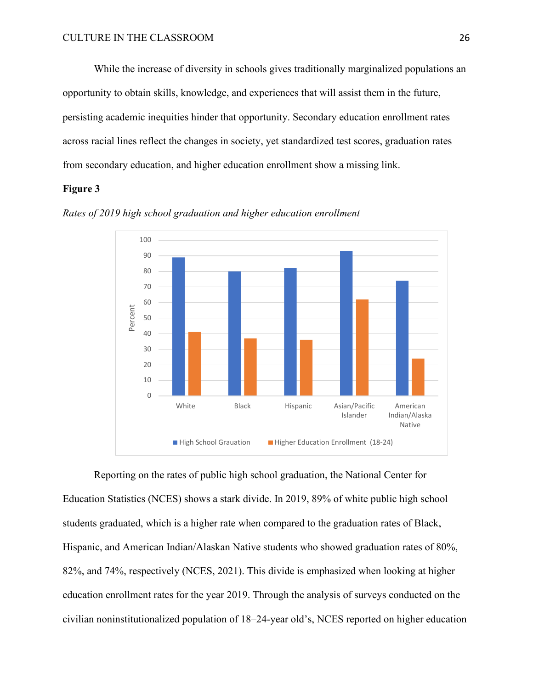While the increase of diversity in schools gives traditionally marginalized populations an opportunity to obtain skills, knowledge, and experiences that will assist them in the future, persisting academic inequities hinder that opportunity. Secondary education enrollment rates across racial lines reflect the changes in society, yet standardized test scores, graduation rates from secondary education, and higher education enrollment show a missing link.

#### **Figure 3**



*Rates of 2019 high school graduation and higher education enrollment*

Reporting on the rates of public high school graduation, the National Center for Education Statistics (NCES) shows a stark divide. In 2019, 89% of white public high school students graduated, which is a higher rate when compared to the graduation rates of Black, Hispanic, and American Indian/Alaskan Native students who showed graduation rates of 80%, 82%, and 74%, respectively (NCES, 2021). This divide is emphasized when looking at higher education enrollment rates for the year 2019. Through the analysis of surveys conducted on the civilian noninstitutionalized population of 18–24-year old's, NCES reported on higher education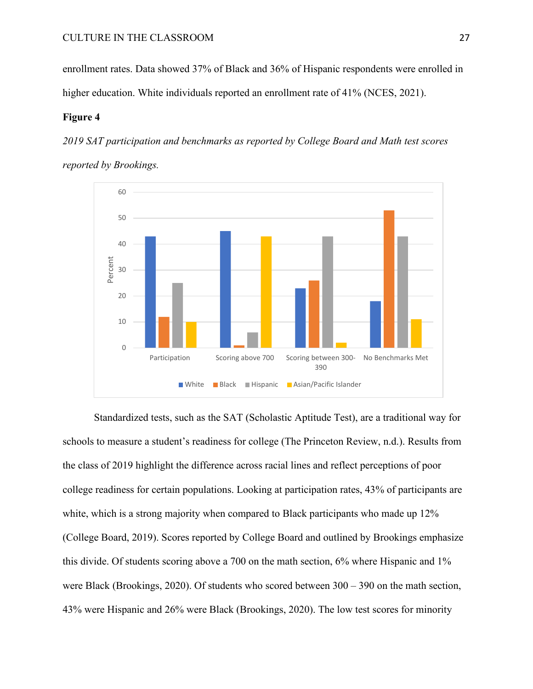enrollment rates. Data showed 37% of Black and 36% of Hispanic respondents were enrolled in higher education. White individuals reported an enrollment rate of 41% (NCES, 2021).

#### **Figure 4**

*2019 SAT participation and benchmarks as reported by College Board and Math test scores reported by Brookings.* 



Standardized tests, such as the SAT (Scholastic Aptitude Test), are a traditional way for schools to measure a student's readiness for college (The Princeton Review, n.d.). Results from the class of 2019 highlight the difference across racial lines and reflect perceptions of poor college readiness for certain populations. Looking at participation rates, 43% of participants are white, which is a strong majority when compared to Black participants who made up 12% (College Board, 2019). Scores reported by College Board and outlined by Brookings emphasize this divide. Of students scoring above a 700 on the math section, 6% where Hispanic and 1% were Black (Brookings, 2020). Of students who scored between 300 – 390 on the math section, 43% were Hispanic and 26% were Black (Brookings, 2020). The low test scores for minority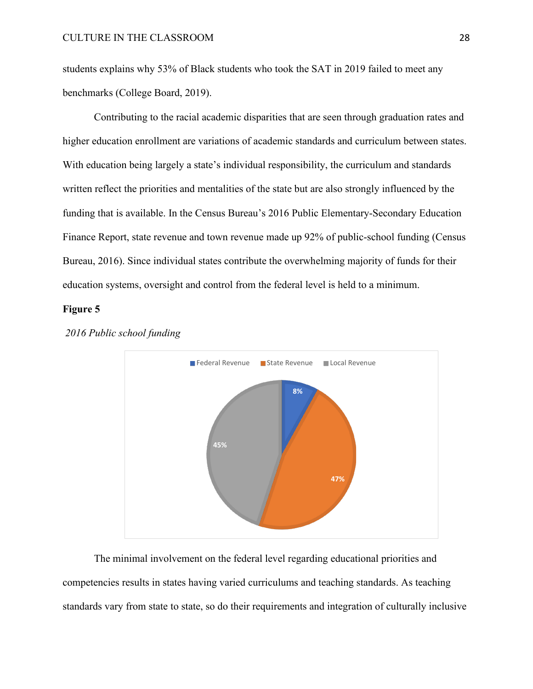students explains why 53% of Black students who took the SAT in 2019 failed to meet any benchmarks (College Board, 2019).

Contributing to the racial academic disparities that are seen through graduation rates and higher education enrollment are variations of academic standards and curriculum between states. With education being largely a state's individual responsibility, the curriculum and standards written reflect the priorities and mentalities of the state but are also strongly influenced by the funding that is available. In the Census Bureau's 2016 Public Elementary-Secondary Education Finance Report, state revenue and town revenue made up 92% of public-school funding (Census Bureau, 2016). Since individual states contribute the overwhelming majority of funds for their education systems, oversight and control from the federal level is held to a minimum.

#### **Figure 5**



*2016 Public school funding*

The minimal involvement on the federal level regarding educational priorities and competencies results in states having varied curriculums and teaching standards. As teaching standards vary from state to state, so do their requirements and integration of culturally inclusive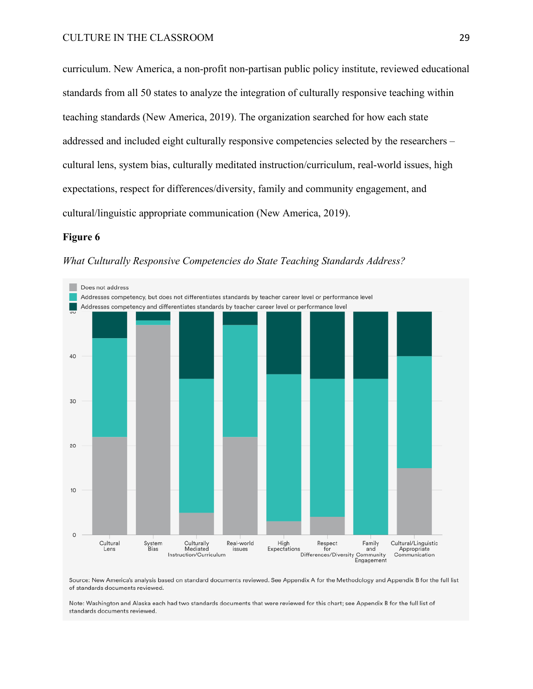curriculum. New America, a non-profit non-partisan public policy institute, reviewed educational standards from all 50 states to analyze the integration of culturally responsive teaching within teaching standards (New America, 2019). The organization searched for how each state addressed and included eight culturally responsive competencies selected by the researchers – cultural lens, system bias, culturally meditated instruction/curriculum, real-world issues, high expectations, respect for differences/diversity, family and community engagement, and cultural/linguistic appropriate communication (New America, 2019).

#### **Figure 6**

*What Culturally Responsive Competencies do State Teaching Standards Address?*



Source: New America's analysis based on standard documents reviewed. See Appendix A for the Methodology and Appendix B for the full list of standards documents reviewed.

Note: Washington and Alaska each had two standards documents that were reviewed for this chart; see Appendix B for the full list of standards documents reviewed.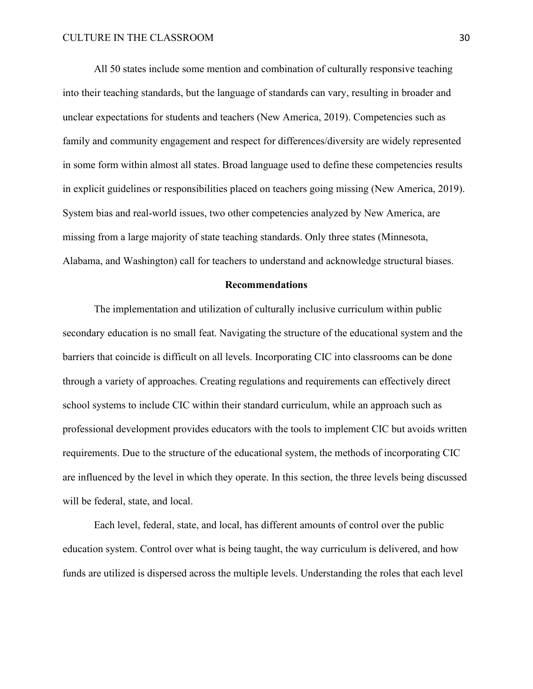All 50 states include some mention and combination of culturally responsive teaching into their teaching standards, but the language of standards can vary, resulting in broader and unclear expectations for students and teachers (New America, 2019). Competencies such as family and community engagement and respect for differences/diversity are widely represented in some form within almost all states. Broad language used to define these competencies results in explicit guidelines or responsibilities placed on teachers going missing (New America, 2019). System bias and real-world issues, two other competencies analyzed by New America, are missing from a large majority of state teaching standards. Only three states (Minnesota, Alabama, and Washington) call for teachers to understand and acknowledge structural biases.

#### **Recommendations**

The implementation and utilization of culturally inclusive curriculum within public secondary education is no small feat. Navigating the structure of the educational system and the barriers that coincide is difficult on all levels. Incorporating CIC into classrooms can be done through a variety of approaches. Creating regulations and requirements can effectively direct school systems to include CIC within their standard curriculum, while an approach such as professional development provides educators with the tools to implement CIC but avoids written requirements. Due to the structure of the educational system, the methods of incorporating CIC are influenced by the level in which they operate. In this section, the three levels being discussed will be federal, state, and local.

Each level, federal, state, and local, has different amounts of control over the public education system. Control over what is being taught, the way curriculum is delivered, and how funds are utilized is dispersed across the multiple levels. Understanding the roles that each level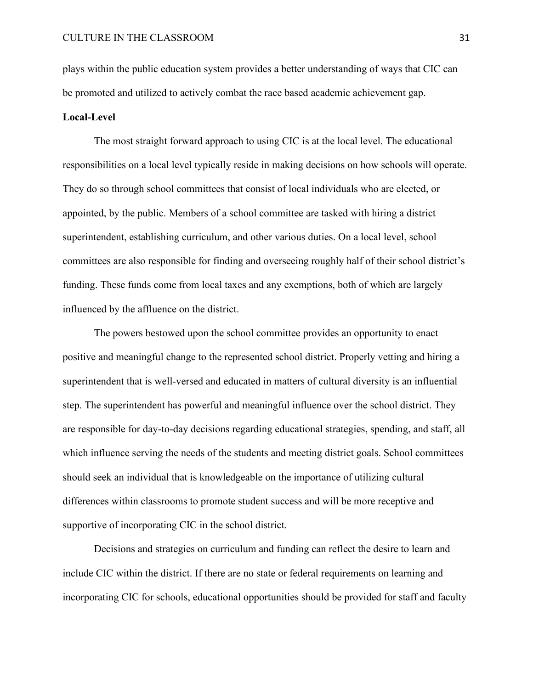plays within the public education system provides a better understanding of ways that CIC can be promoted and utilized to actively combat the race based academic achievement gap.

#### **Local-Level**

The most straight forward approach to using CIC is at the local level. The educational responsibilities on a local level typically reside in making decisions on how schools will operate. They do so through school committees that consist of local individuals who are elected, or appointed, by the public. Members of a school committee are tasked with hiring a district superintendent, establishing curriculum, and other various duties. On a local level, school committees are also responsible for finding and overseeing roughly half of their school district's funding. These funds come from local taxes and any exemptions, both of which are largely influenced by the affluence on the district.

The powers bestowed upon the school committee provides an opportunity to enact positive and meaningful change to the represented school district. Properly vetting and hiring a superintendent that is well-versed and educated in matters of cultural diversity is an influential step. The superintendent has powerful and meaningful influence over the school district. They are responsible for day-to-day decisions regarding educational strategies, spending, and staff, all which influence serving the needs of the students and meeting district goals. School committees should seek an individual that is knowledgeable on the importance of utilizing cultural differences within classrooms to promote student success and will be more receptive and supportive of incorporating CIC in the school district.

Decisions and strategies on curriculum and funding can reflect the desire to learn and include CIC within the district. If there are no state or federal requirements on learning and incorporating CIC for schools, educational opportunities should be provided for staff and faculty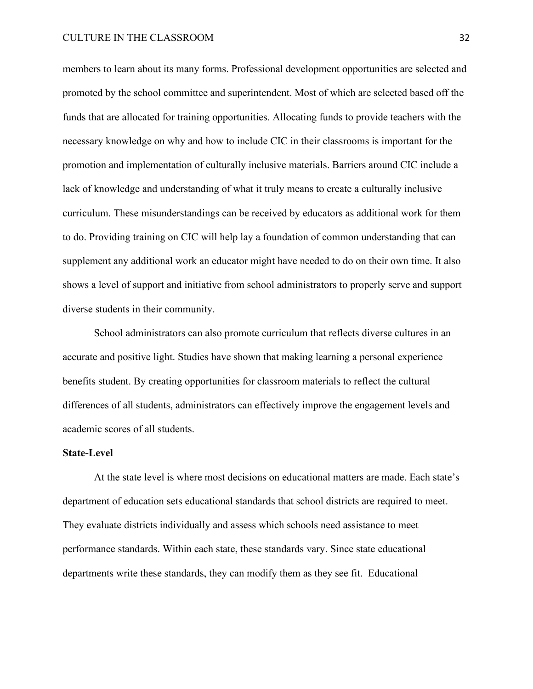#### CULTURE IN THE CLASSROOM 32

members to learn about its many forms. Professional development opportunities are selected and promoted by the school committee and superintendent. Most of which are selected based off the funds that are allocated for training opportunities. Allocating funds to provide teachers with the necessary knowledge on why and how to include CIC in their classrooms is important for the promotion and implementation of culturally inclusive materials. Barriers around CIC include a lack of knowledge and understanding of what it truly means to create a culturally inclusive curriculum. These misunderstandings can be received by educators as additional work for them to do. Providing training on CIC will help lay a foundation of common understanding that can supplement any additional work an educator might have needed to do on their own time. It also shows a level of support and initiative from school administrators to properly serve and support diverse students in their community.

School administrators can also promote curriculum that reflects diverse cultures in an accurate and positive light. Studies have shown that making learning a personal experience benefits student. By creating opportunities for classroom materials to reflect the cultural differences of all students, administrators can effectively improve the engagement levels and academic scores of all students.

#### **State-Level**

At the state level is where most decisions on educational matters are made. Each state's department of education sets educational standards that school districts are required to meet. They evaluate districts individually and assess which schools need assistance to meet performance standards. Within each state, these standards vary. Since state educational departments write these standards, they can modify them as they see fit. Educational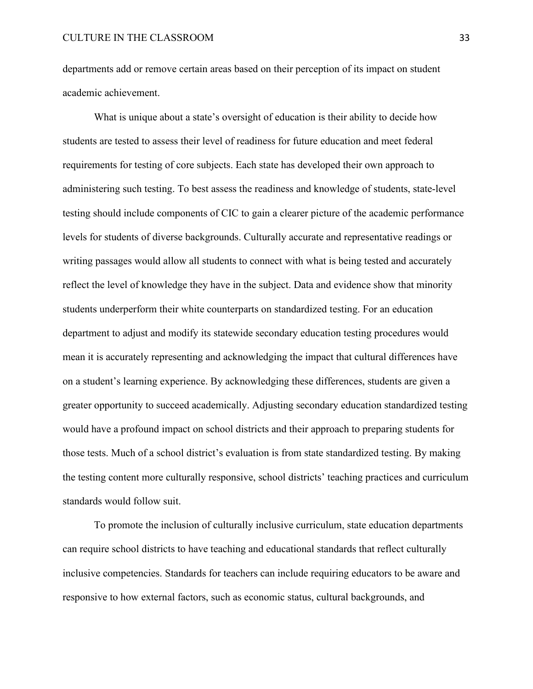departments add or remove certain areas based on their perception of its impact on student academic achievement.

What is unique about a state's oversight of education is their ability to decide how students are tested to assess their level of readiness for future education and meet federal requirements for testing of core subjects. Each state has developed their own approach to administering such testing. To best assess the readiness and knowledge of students, state-level testing should include components of CIC to gain a clearer picture of the academic performance levels for students of diverse backgrounds. Culturally accurate and representative readings or writing passages would allow all students to connect with what is being tested and accurately reflect the level of knowledge they have in the subject. Data and evidence show that minority students underperform their white counterparts on standardized testing. For an education department to adjust and modify its statewide secondary education testing procedures would mean it is accurately representing and acknowledging the impact that cultural differences have on a student's learning experience. By acknowledging these differences, students are given a greater opportunity to succeed academically. Adjusting secondary education standardized testing would have a profound impact on school districts and their approach to preparing students for those tests. Much of a school district's evaluation is from state standardized testing. By making the testing content more culturally responsive, school districts' teaching practices and curriculum standards would follow suit.

To promote the inclusion of culturally inclusive curriculum, state education departments can require school districts to have teaching and educational standards that reflect culturally inclusive competencies. Standards for teachers can include requiring educators to be aware and responsive to how external factors, such as economic status, cultural backgrounds, and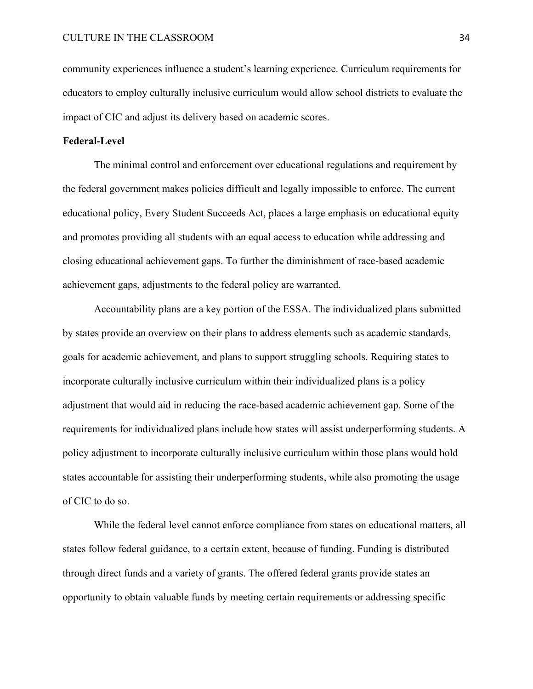community experiences influence a student's learning experience. Curriculum requirements for educators to employ culturally inclusive curriculum would allow school districts to evaluate the impact of CIC and adjust its delivery based on academic scores.

#### **Federal-Level**

The minimal control and enforcement over educational regulations and requirement by the federal government makes policies difficult and legally impossible to enforce. The current educational policy, Every Student Succeeds Act, places a large emphasis on educational equity and promotes providing all students with an equal access to education while addressing and closing educational achievement gaps. To further the diminishment of race-based academic achievement gaps, adjustments to the federal policy are warranted.

Accountability plans are a key portion of the ESSA. The individualized plans submitted by states provide an overview on their plans to address elements such as academic standards, goals for academic achievement, and plans to support struggling schools. Requiring states to incorporate culturally inclusive curriculum within their individualized plans is a policy adjustment that would aid in reducing the race-based academic achievement gap. Some of the requirements for individualized plans include how states will assist underperforming students. A policy adjustment to incorporate culturally inclusive curriculum within those plans would hold states accountable for assisting their underperforming students, while also promoting the usage of CIC to do so.

While the federal level cannot enforce compliance from states on educational matters, all states follow federal guidance, to a certain extent, because of funding. Funding is distributed through direct funds and a variety of grants. The offered federal grants provide states an opportunity to obtain valuable funds by meeting certain requirements or addressing specific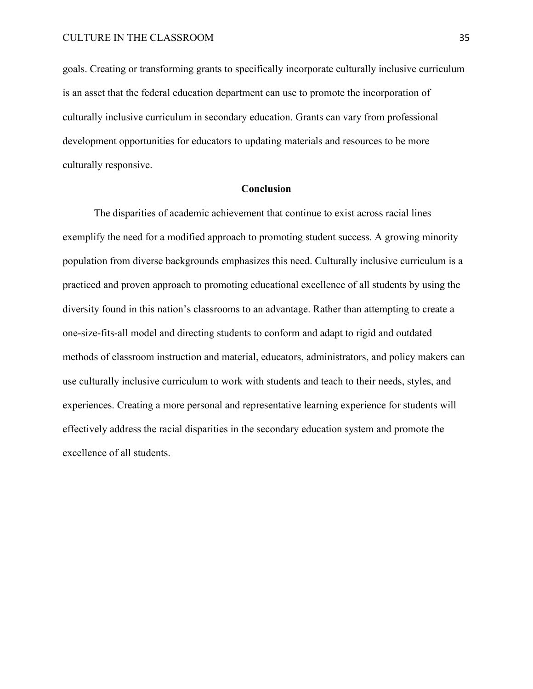goals. Creating or transforming grants to specifically incorporate culturally inclusive curriculum is an asset that the federal education department can use to promote the incorporation of culturally inclusive curriculum in secondary education. Grants can vary from professional development opportunities for educators to updating materials and resources to be more culturally responsive.

#### **Conclusion**

The disparities of academic achievement that continue to exist across racial lines exemplify the need for a modified approach to promoting student success. A growing minority population from diverse backgrounds emphasizes this need. Culturally inclusive curriculum is a practiced and proven approach to promoting educational excellence of all students by using the diversity found in this nation's classrooms to an advantage. Rather than attempting to create a one-size-fits-all model and directing students to conform and adapt to rigid and outdated methods of classroom instruction and material, educators, administrators, and policy makers can use culturally inclusive curriculum to work with students and teach to their needs, styles, and experiences. Creating a more personal and representative learning experience for students will effectively address the racial disparities in the secondary education system and promote the excellence of all students.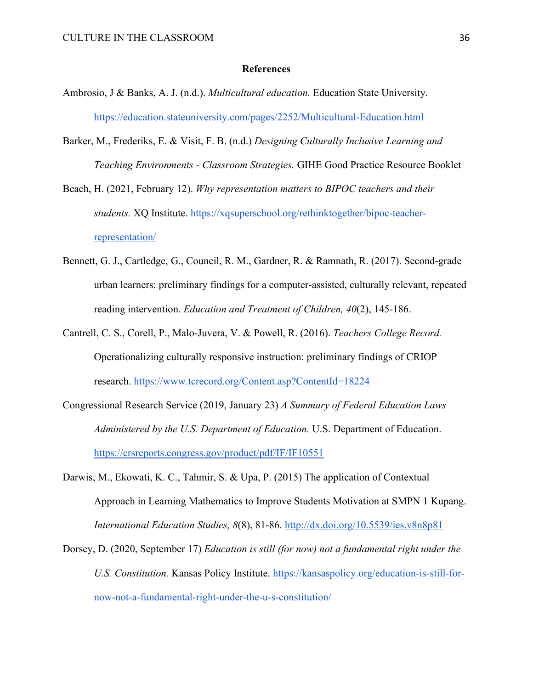#### **References**

- Ambrosio, J & Banks, A. J. (n.d.). *Multicultural education.* Education State University. <https://education.stateuniversity.com/pages/2252/Multicultural-Education.html>
- Barker, M., Frederiks, E. & Visit, F. B. (n.d.) *Designing Culturally Inclusive Learning and Teaching Environments - Classroom Strategies.* GIHE Good Practice Resource Booklet
- Beach, H. (2021, February 12). *Why representation matters to BIPOC teachers and their students.* XQ Institute. [https://xqsuperschool.org/rethinktogether/bipoc-teacher](https://xqsuperschool.org/rethinktogether/bipoc-teacher-representation/)[representation/](https://xqsuperschool.org/rethinktogether/bipoc-teacher-representation/)
- Bennett, G. J., Cartledge, G., Council, R. M., Gardner, R. & Ramnath, R. (2017). Second-grade urban learners: preliminary findings for a computer-assisted, culturally relevant, repeated reading intervention. *Education and Treatment of Children, 40*(2), 145-186.
- Cantrell, C. S., Corell, P., Malo-Juvera, V. & Powell, R. (2016). *Teachers College Record.*  Operationalizing culturally responsive instruction: preliminary findings of CRIOP research.<https://www.tcrecord.org/Content.asp?ContentId=18224>
- Congressional Research Service (2019, January 23) *A Summary of Federal Education Laws Administered by the U.S. Department of Education.* U.S. Department of Education. <https://crsreports.congress.gov/product/pdf/IF/IF10551>
- Darwis, M., Ekowati, K. C., Tahmir, S. & Upa, P. (2015) The application of Contextual Approach in Learning Mathematics to Improve Students Motivation at SMPN 1 Kupang. *International Education Studies, 8*(8), 81-86.<http://dx.doi.org/10.5539/ies.v8n8p81>
- Dorsey, D. (2020, September 17) *Education is still (for now) not a fundamental right under the U.S. Constitution.* Kansas Policy Institute. [https://kansaspolicy.org/education-is-still-for](https://kansaspolicy.org/education-is-still-for-now-not-a-fundamental-right-under-the-u-s-constitution/)[now-not-a-fundamental-right-under-the-u-s-constitution/](https://kansaspolicy.org/education-is-still-for-now-not-a-fundamental-right-under-the-u-s-constitution/)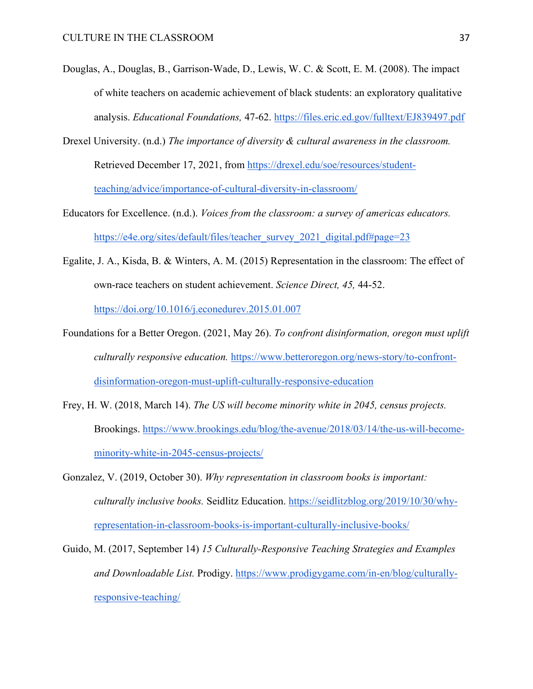- Douglas, A., Douglas, B., Garrison-Wade, D., Lewis, W. C. & Scott, E. M. (2008). The impact of white teachers on academic achievement of black students: an exploratory qualitative analysis. *Educational Foundations,* 47-62.<https://files.eric.ed.gov/fulltext/EJ839497.pdf>
- Drexel University. (n.d.) *The importance of diversity & cultural awareness in the classroom.*  Retrieved December 17, 2021, from [https://drexel.edu/soe/resources/student](https://drexel.edu/soe/resources/student-teaching/advice/importance-of-cultural-diversity-in-classroom/)[teaching/advice/importance-of-cultural-diversity-in-classroom/](https://drexel.edu/soe/resources/student-teaching/advice/importance-of-cultural-diversity-in-classroom/)
- Educators for Excellence. (n.d.). *Voices from the classroom: a survey of americas educators.*  https://e4e.org/sites/default/files/teacher\_survey\_2021\_digital.pdf#page=23
- Egalite, J. A., Kisda, B. & Winters, A. M. (2015) Representation in the classroom: The effect of own-race teachers on student achievement. *Science Direct, 45,* 44-52.

<https://doi.org/10.1016/j.econedurev.2015.01.007>

- Foundations for a Better Oregon. (2021, May 26). *To confront disinformation, oregon must uplift culturally responsive education.* [https://www.betteroregon.org/news-story/to-confront](https://www.betteroregon.org/news-story/to-confront-disinformation-oregon-must-uplift-culturally-responsive-education)[disinformation-oregon-must-uplift-culturally-responsive-education](https://www.betteroregon.org/news-story/to-confront-disinformation-oregon-must-uplift-culturally-responsive-education)
- Frey, H. W. (2018, March 14). *The US will become minority white in 2045, census projects.*  Brookings. [https://www.brookings.edu/blog/the-avenue/2018/03/14/the-us-will-become](https://www.brookings.edu/blog/the-avenue/2018/03/14/the-us-will-become-minority-white-in-2045-census-projects/)[minority-white-in-2045-census-projects/](https://www.brookings.edu/blog/the-avenue/2018/03/14/the-us-will-become-minority-white-in-2045-census-projects/)
- Gonzalez, V. (2019, October 30). *Why representation in classroom books is important: culturally inclusive books.* Seidlitz Education. [https://seidlitzblog.org/2019/10/30/why](https://seidlitzblog.org/2019/10/30/why-representation-in-classroom-books-is-important-culturally-inclusive-books/)[representation-in-classroom-books-is-important-culturally-inclusive-books/](https://seidlitzblog.org/2019/10/30/why-representation-in-classroom-books-is-important-culturally-inclusive-books/)
- Guido, M. (2017, September 14) *15 Culturally-Responsive Teaching Strategies and Examples and Downloadable List.* Prodigy. [https://www.prodigygame.com/in-en/blog/culturally](https://www.prodigygame.com/in-en/blog/culturally-responsive-teaching/)[responsive-teaching/](https://www.prodigygame.com/in-en/blog/culturally-responsive-teaching/)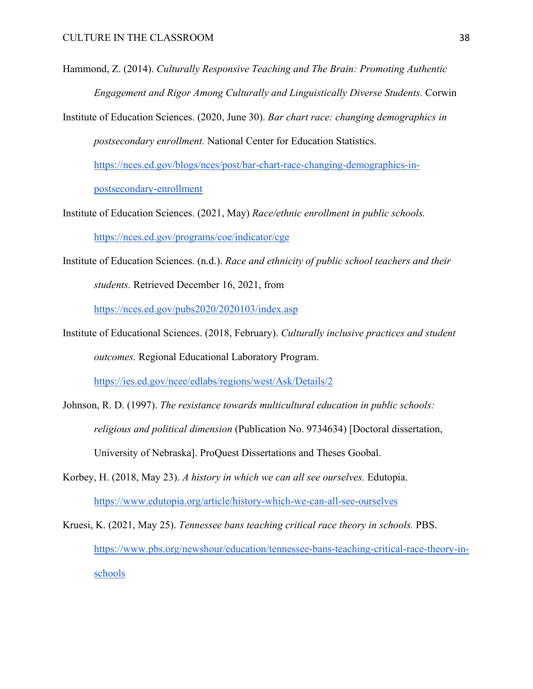- Hammond, Z. (2014). *Culturally Responsive Teaching and The Brain: Promoting Authentic Engagement and Rigor Among Culturally and Linguistically Diverse Students.* Corwin
- Institute of Education Sciences. (2020, June 30). *Bar chart race: changing demographics in postsecondary enrollment.* National Center for Education Statistics.

[https://nces.ed.gov/blogs/nces/post/bar-chart-race-changing-demographics-in](https://nces.ed.gov/blogs/nces/post/bar-chart-race-changing-demographics-in-postsecondary-enrollment)[postsecondary-enrollment](https://nces.ed.gov/blogs/nces/post/bar-chart-race-changing-demographics-in-postsecondary-enrollment) 

- Institute of Education Sciences. (2021, May) *Race/ethnic enrollment in public schools.*  <https://nces.ed.gov/programs/coe/indicator/cge>
- Institute of Education Sciences. (n.d.). *Race and ethnicity of public school teachers and their students.* Retrieved December 16, 2021, from

<https://nces.ed.gov/pubs2020/2020103/index.asp>

Institute of Educational Sciences. (2018, February). *Culturally inclusive practices and student outcomes.* Regional Educational Laboratory Program.

<https://ies.ed.gov/ncee/edlabs/regions/west/Ask/Details/2>

Johnson, R. D. (1997). *The resistance towards multicultural education in public schools: religious and political dimension* (Publication No. 9734634) [Doctoral dissertation, University of Nebraska]. ProQuest Dissertations and Theses Goobal.

Korbey, H. (2018, May 23). *A history in which we can all see ourselves.* Edutopia. <https://www.edutopia.org/article/history-which-we-can-all-see-ourselves>

Kruesi, K. (2021, May 25). *Tennessee bans teaching critical race theory in schools.* PBS. [https://www.pbs.org/newshour/education/tennessee-bans-teaching-critical-race-theory-in](https://www.pbs.org/newshour/education/tennessee-bans-teaching-critical-race-theory-in-schools)[schools](https://www.pbs.org/newshour/education/tennessee-bans-teaching-critical-race-theory-in-schools)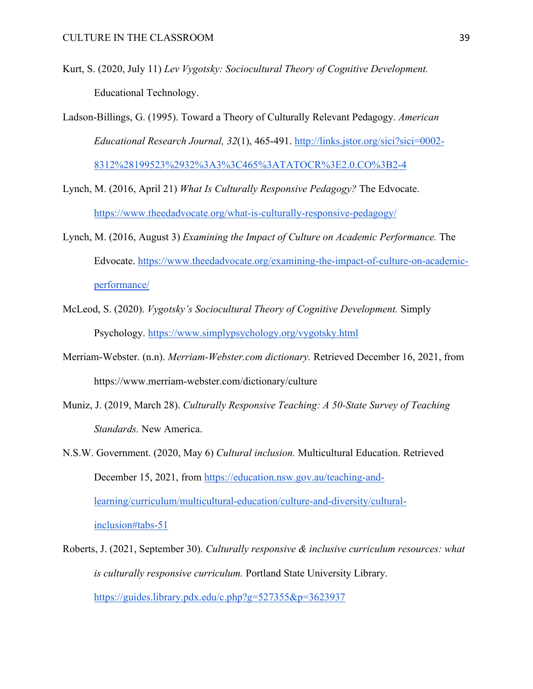- Kurt, S. (2020, July 11) *Lev Vygotsky: Sociocultural Theory of Cognitive Development.*  Educational Technology.
- Ladson-Billings, G. (1995). Toward a Theory of Culturally Relevant Pedagogy. *American Educational Research Journal, 32*(1), 465-491. [http://links.jstor.org/sici?sici=0002-](http://links.jstor.org/sici?sici=0002-8312%28199523%2932%3A3%3C465%3ATATOCR%3E2.0.CO%3B2-4) [8312%28199523%2932%3A3%3C465%3ATATOCR%3E2.0.CO%3B2-4](http://links.jstor.org/sici?sici=0002-8312%28199523%2932%3A3%3C465%3ATATOCR%3E2.0.CO%3B2-4)
- Lynch, M. (2016, April 21) *What Is Culturally Responsive Pedagogy?* The Edvocate. <https://www.theedadvocate.org/what-is-culturally-responsive-pedagogy/>
- Lynch, M. (2016, August 3) *Examining the Impact of Culture on Academic Performance.* The Edvocate. [https://www.theedadvocate.org/examining-the-impact-of-culture-on-academic](https://www.theedadvocate.org/examining-the-impact-of-culture-on-academic-performance/)[performance/](https://www.theedadvocate.org/examining-the-impact-of-culture-on-academic-performance/)
- McLeod, S. (2020). *Vygotsky's Sociocultural Theory of Cognitive Development.* Simply Psychology.<https://www.simplypsychology.org/vygotsky.html>
- Merriam-Webster. (n.n). *Merriam-Webster.com dictionary.* Retrieved December 16, 2021, from https://www.merriam-webster.com/dictionary/culture
- Muniz, J. (2019, March 28). *Culturally Responsive Teaching: A 50-State Survey of Teaching Standards.* New America.
- N.S.W. Government. (2020, May 6) *Cultural inclusion.* Multicultural Education. Retrieved December 15, 2021, from [https://education.nsw.gov.au/teaching-and](https://education.nsw.gov.au/teaching-and-learning/curriculum/multicultural-education/culture-and-diversity/cultural-inclusion#tabs-51)[learning/curriculum/multicultural-education/culture-and-diversity/cultural](https://education.nsw.gov.au/teaching-and-learning/curriculum/multicultural-education/culture-and-diversity/cultural-inclusion#tabs-51)[inclusion#tabs-51](https://education.nsw.gov.au/teaching-and-learning/curriculum/multicultural-education/culture-and-diversity/cultural-inclusion#tabs-51)
- Roberts, J. (2021, September 30). *Culturally responsive & inclusive curriculum resources: what is culturally responsive curriculum.* Portland State University Library. <https://guides.library.pdx.edu/c.php?g=527355&p=3623937>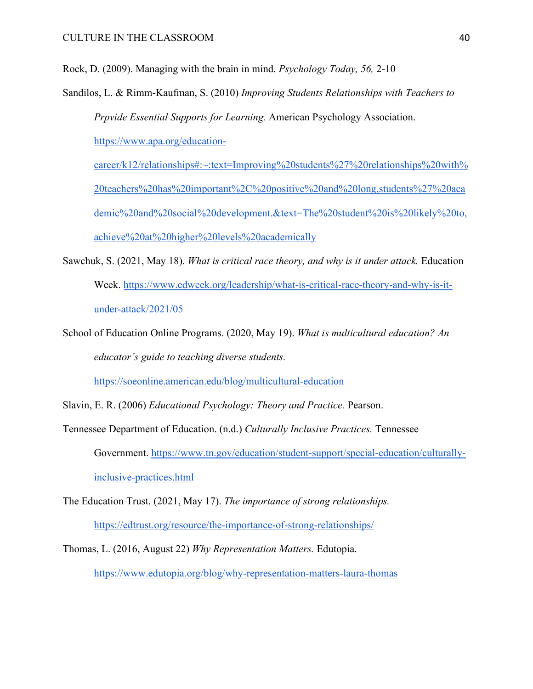Rock, D. (2009). Managing with the brain in mind. *Psychology Today, 56,* 2-10

Sandilos, L. & Rimm-Kaufman, S. (2010) *Improving Students Relationships with Teachers to Prpvide Essential Supports for Learning.* American Psychology Association. [https://www.apa.org/education-](https://www.apa.org/education-career/k12/relationships#:%7E:text=Improving%20students%27%20relationships%20with%20teachers%20has%20important%2C%20positive%20and%20long,students%27%20academic%20and%20social%20development.&text=The%20student%20is%20likely%20to,achieve%20at%20higher%20levels%20academically)

[career/k12/relationships#:~:text=Improving%20students%27%20relationships%20with%](https://www.apa.org/education-career/k12/relationships#:%7E:text=Improving%20students%27%20relationships%20with%20teachers%20has%20important%2C%20positive%20and%20long,students%27%20academic%20and%20social%20development.&text=The%20student%20is%20likely%20to,achieve%20at%20higher%20levels%20academically) [20teachers%20has%20important%2C%20positive%20and%20long,students%27%20aca](https://www.apa.org/education-career/k12/relationships#:%7E:text=Improving%20students%27%20relationships%20with%20teachers%20has%20important%2C%20positive%20and%20long,students%27%20academic%20and%20social%20development.&text=The%20student%20is%20likely%20to,achieve%20at%20higher%20levels%20academically) [demic%20and%20social%20development.&text=The%20student%20is%20likely%20to,](https://www.apa.org/education-career/k12/relationships#:%7E:text=Improving%20students%27%20relationships%20with%20teachers%20has%20important%2C%20positive%20and%20long,students%27%20academic%20and%20social%20development.&text=The%20student%20is%20likely%20to,achieve%20at%20higher%20levels%20academically) [achieve%20at%20higher%20levels%20academically](https://www.apa.org/education-career/k12/relationships#:%7E:text=Improving%20students%27%20relationships%20with%20teachers%20has%20important%2C%20positive%20and%20long,students%27%20academic%20and%20social%20development.&text=The%20student%20is%20likely%20to,achieve%20at%20higher%20levels%20academically) 

- Sawchuk, S. (2021, May 18). *What is critical race theory, and why is it under attack.* Education Week. [https://www.edweek.org/leadership/what-is-critical-race-theory-and-why-is-it](https://www.edweek.org/leadership/what-is-critical-race-theory-and-why-is-it-under-attack/2021/05)[under-attack/2021/05](https://www.edweek.org/leadership/what-is-critical-race-theory-and-why-is-it-under-attack/2021/05)
- School of Education Online Programs. (2020, May 19). *What is multicultural education? An educator's guide to teaching diverse students.*

<https://soeonline.american.edu/blog/multicultural-education>

Slavin, E. R. (2006) *Educational Psychology: Theory and Practice.* Pearson.

- Tennessee Department of Education. (n.d.) *Culturally Inclusive Practices.* Tennessee Government. [https://www.tn.gov/education/student-support/special-education/culturally](https://www.tn.gov/education/student-support/special-education/culturally-inclusive-practices.html)[inclusive-practices.html](https://www.tn.gov/education/student-support/special-education/culturally-inclusive-practices.html)
- The Education Trust. (2021, May 17). *The importance of strong relationships.*  <https://edtrust.org/resource/the-importance-of-strong-relationships/>
- Thomas, L. (2016, August 22) *Why Representation Matters.* Edutopia. <https://www.edutopia.org/blog/why-representation-matters-laura-thomas>